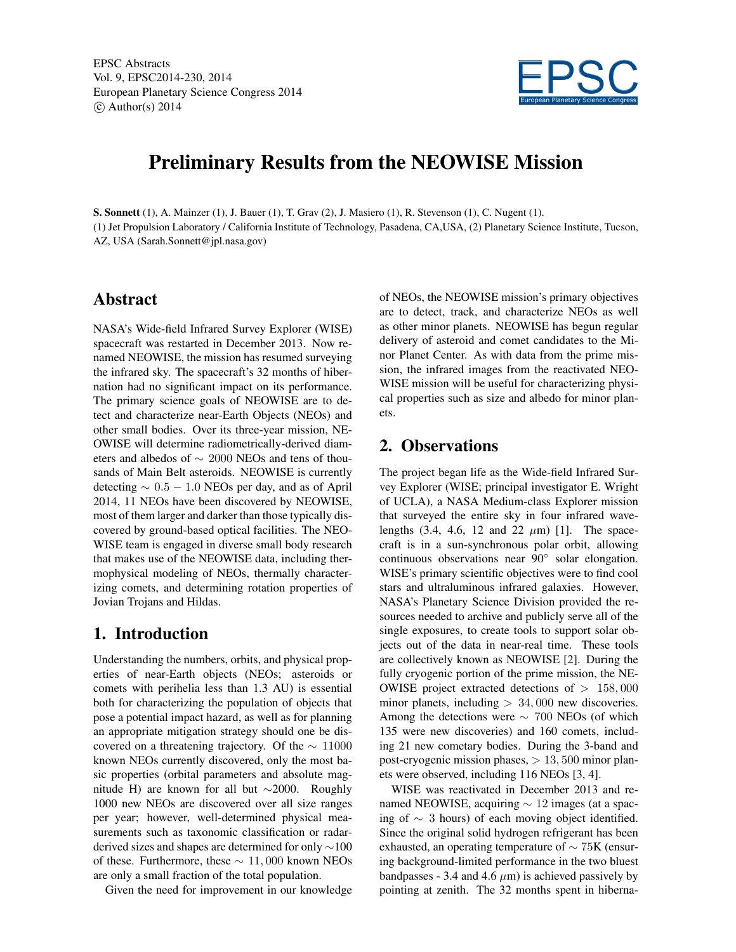

# Preliminary Results from the NEOWISE Mission

S. Sonnett (1), A. Mainzer (1), J. Bauer (1), T. Grav (2), J. Masiero (1), R. Stevenson (1), C. Nugent (1). (1) Jet Propulsion Laboratory / California Institute of Technology, Pasadena, CA,USA, (2) Planetary Science Institute, Tucson, AZ, USA (Sarah.Sonnett@jpl.nasa.gov)

#### Abstract

NASA's Wide-field Infrared Survey Explorer (WISE) spacecraft was restarted in December 2013. Now renamed NEOWISE, the mission has resumed surveying the infrared sky. The spacecraft's 32 months of hibernation had no significant impact on its performance. The primary science goals of NEOWISE are to detect and characterize near-Earth Objects (NEOs) and other small bodies. Over its three-year mission, NE-OWISE will determine radiometrically-derived diameters and albedos of ∼ 2000 NEOs and tens of thousands of Main Belt asteroids. NEOWISE is currently detecting  $\sim 0.5 - 1.0$  NEOs per day, and as of April 2014, 11 NEOs have been discovered by NEOWISE, most of them larger and darker than those typically discovered by ground-based optical facilities. The NEO-WISE team is engaged in diverse small body research that makes use of the NEOWISE data, including thermophysical modeling of NEOs, thermally characterizing comets, and determining rotation properties of Jovian Trojans and Hildas.

### 1. Introduction

Understanding the numbers, orbits, and physical properties of near-Earth objects (NEOs; asteroids or comets with perihelia less than 1.3 AU) is essential both for characterizing the population of objects that pose a potential impact hazard, as well as for planning an appropriate mitigation strategy should one be discovered on a threatening trajectory. Of the  $\sim 11000$ known NEOs currently discovered, only the most basic properties (orbital parameters and absolute magnitude H) are known for all but ∼2000. Roughly 1000 new NEOs are discovered over all size ranges per year; however, well-determined physical measurements such as taxonomic classification or radarderived sizes and shapes are determined for only ∼100 of these. Furthermore, these  $\sim 11,000$  known NEOs are only a small fraction of the total population.

Given the need for improvement in our knowledge

of NEOs, the NEOWISE mission's primary objectives are to detect, track, and characterize NEOs as well as other minor planets. NEOWISE has begun regular delivery of asteroid and comet candidates to the Minor Planet Center. As with data from the prime mission, the infrared images from the reactivated NEO-WISE mission will be useful for characterizing physical properties such as size and albedo for minor planets.

## 2. Observations

The project began life as the Wide-field Infrared Survey Explorer (WISE; principal investigator E. Wright of UCLA), a NASA Medium-class Explorer mission that surveyed the entire sky in four infrared wavelengths  $(3.4, 4.6, 12 \text{ and } 22 \mu \text{m})$  [1]. The spacecraft is in a sun-synchronous polar orbit, allowing continuous observations near 90◦ solar elongation. WISE's primary scientific objectives were to find cool stars and ultraluminous infrared galaxies. However, NASA's Planetary Science Division provided the resources needed to archive and publicly serve all of the single exposures, to create tools to support solar objects out of the data in near-real time. These tools are collectively known as NEOWISE [2]. During the fully cryogenic portion of the prime mission, the NE-OWISE project extracted detections of  $> 158,000$ minor planets, including  $> 34,000$  new discoveries. Among the detections were  $\sim$  700 NEOs (of which 135 were new discoveries) and 160 comets, including 21 new cometary bodies. During the 3-band and post-cryogenic mission phases,  $> 13,500$  minor planets were observed, including 116 NEOs [3, 4].

WISE was reactivated in December 2013 and renamed NEOWISE, acquiring  $\sim$  12 images (at a spacing of  $∼ 3$  hours) of each moving object identified. Since the original solid hydrogen refrigerant has been exhausted, an operating temperature of  $\sim$  75K (ensuring background-limited performance in the two bluest bandpasses - 3.4 and 4.6  $\mu$ m) is achieved passively by pointing at zenith. The 32 months spent in hiberna